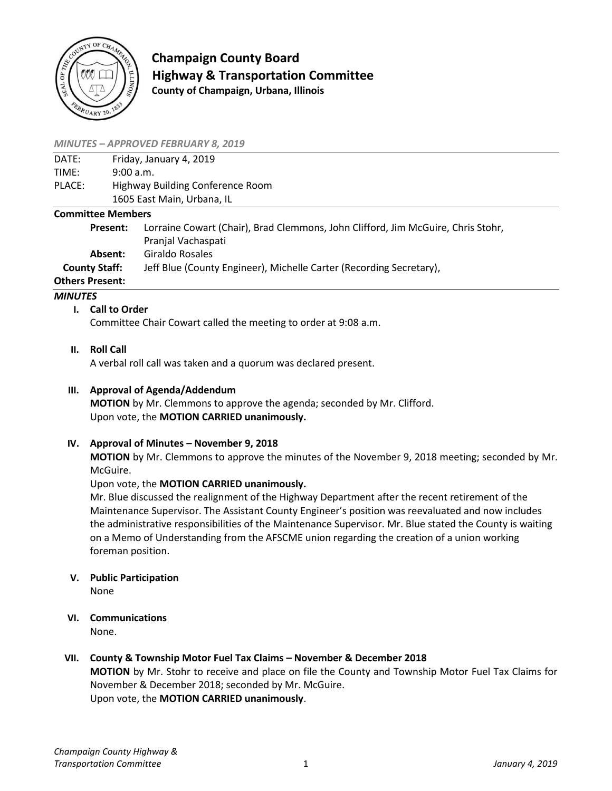

**Champaign County Board Highway & Transportation Committee County of Champaign, Urbana, Illinois**

#### *MINUTES – APPROVED FEBRUARY 8, 2019*

| DATE:  | Friday, January 4, 2019          |
|--------|----------------------------------|
| TIMF:  | 9:00 a.m.                        |
| PLACE: | Highway Building Conference Room |
|        | 1605 East Main, Urbana, IL       |

#### **Committee Members**

**Present:** Lorraine Cowart (Chair), Brad Clemmons, John Clifford, Jim McGuire, Chris Stohr, Pranjal Vachaspati **Absent:** Giraldo Rosales **County Staff:** Jeff Blue (County Engineer), Michelle Carter (Recording Secretary), **Others Present:**

#### *MINUTES*

### **I. Call to Order**

Committee Chair Cowart called the meeting to order at 9:08 a.m.

**II. Roll Call**

A verbal roll call was taken and a quorum was declared present.

### **III. Approval of Agenda/Addendum**

**MOTION** by Mr. Clemmons to approve the agenda; seconded by Mr. Clifford. Upon vote, the **MOTION CARRIED unanimously.**

### **IV.** Approval of Minutes – November 9, 2018

**MOTION** by Mr. Clemmons to approve the minutes of the November 9, 2018 meeting; seconded by Mr. McGuire.

### Upon vote, the **MOTION CARRIED unanimously.**

Mr. Blue discussed the realignment of the Highway Department after the recent retirement of the Maintenance Supervisor. The Assistant County Engineer's position was reevaluated and now includes the administrative responsibilities of the Maintenance Supervisor. Mr. Blue stated the County is waiting on a Memo of Understanding from the AFSCME union regarding the creation of a union working foreman position.

- **V. Public Participation** None
- **VI. Communications**

None.

# **VII. County & Township Motor Fuel Tax Claims – November & December 2018**

**MOTION** by Mr. Stohr to receive and place on file the County and Township Motor Fuel Tax Claims for November & December 2018; seconded by Mr. McGuire. Upon vote, the **MOTION CARRIED unanimously**.